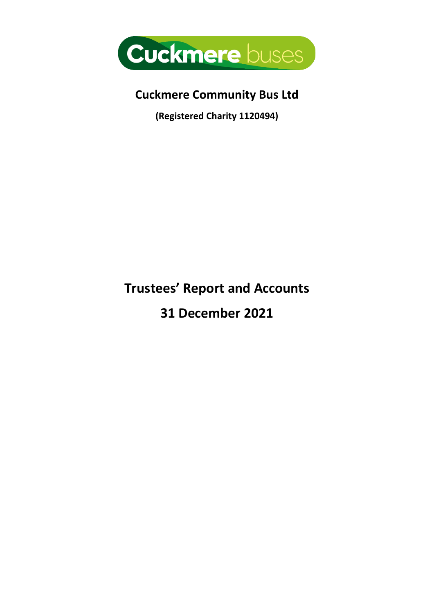

# **Cuckmere Community Bus Ltd**

**(Registered Charity 1120494)**

# **Trustees' Report and Accounts**

**31 December 2021**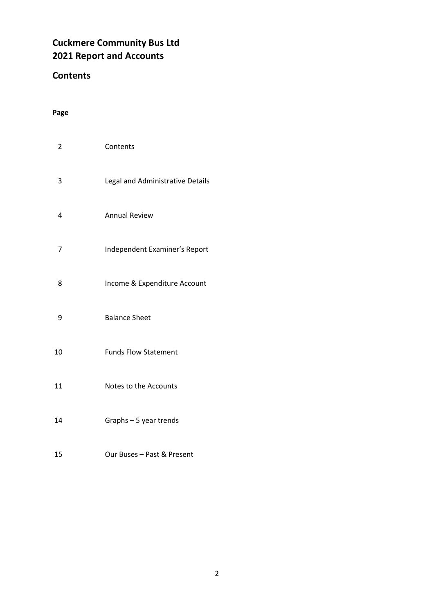## **Cuckmere Community Bus Ltd Report and Accounts**

### **Contents**

### **Page**

| 2  | Contents                         |
|----|----------------------------------|
| 3  | Legal and Administrative Details |
| 4  | <b>Annual Review</b>             |
| 7  | Independent Examiner's Report    |
| 8  | Income & Expenditure Account     |
| 9  | <b>Balance Sheet</b>             |
| 10 | <b>Funds Flow Statement</b>      |
| 11 | Notes to the Accounts            |
| 14 | Graphs - 5 year trends           |
| 15 | Our Buses - Past & Present       |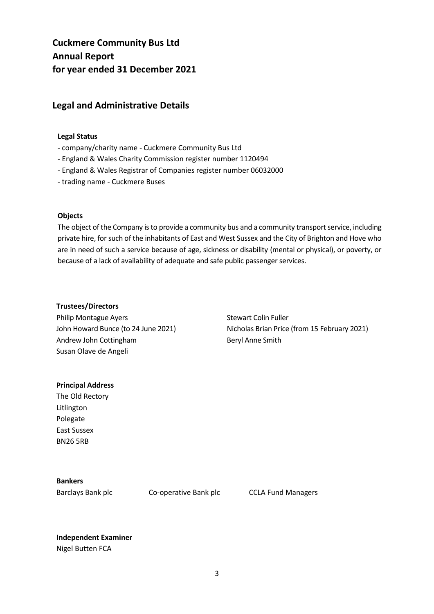## **Cuckmere Community Bus Ltd Annual Report for year ended 31 December 2021**

#### **Legal and Administrative Details**

#### **Legal Status**

- company/charity name Cuckmere Community Bus Ltd
- England & Wales Charity Commission register number 1120494
- England & Wales Registrar of Companies register number 06032000
- trading name Cuckmere Buses

#### **Objects**

The object of the Company is to provide a community bus and a community transport service, including private hire, for such of the inhabitants of East and West Sussex and the City of Brighton and Hove who are in need of such a service because of age, sickness or disability (mental or physical), or poverty, or because of a lack of availability of adequate and safe public passenger services.

#### **Trustees/Directors**

Philip Montague Ayers John Howard Bunce (to 24 June 2021) Andrew John Cottingham Susan Olave de Angeli

Stewart Colin Fuller Nicholas Brian Price (from 15 February 2021) Beryl Anne Smith

#### **Principal Address**

The Old Rectory Litlington Polegate East Sussex BN26 5RB

#### **Bankers**

Barclays Bank plc Co-operative Bank plc CCLA Fund Managers

**Independent Examiner** Nigel Butten FCA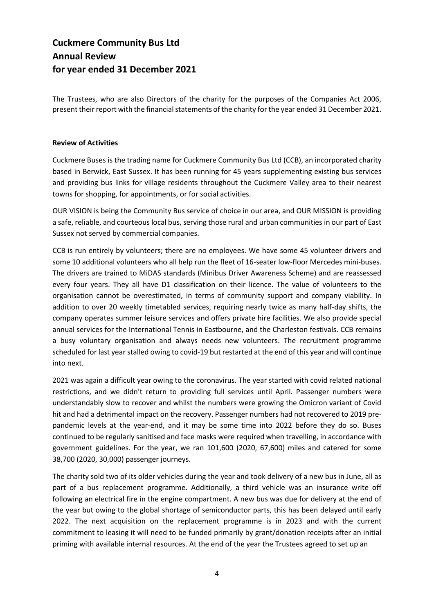## **Cuckmere Community Bus Ltd Annual Review for year ended 31 December 2021**

The Trustees, who are also Directors of the charity for the purposes of the Companies Act 2006, present their report with the financial statements of the charity for the year ended 31 December 2021.

#### **Review of Activities**

Cuckmere Buses is the trading name for Cuckmere Community Bus Ltd (CCB), an incorporated charity based in Berwick, East Sussex. It has been running for 45 years supplementing existing bus services and providing bus links for village residents throughout the Cuckmere Valley area to their nearest towns for shopping, for appointments, or for social activities.

OUR VISION is being the Community Bus service of choice in our area, and OUR MISSION is providing a safe, reliable, and courteous local bus, serving those rural and urban communities in our part of East Sussex not served by commercial companies.

CCB is run entirely by volunteers; there are no employees. We have some 45 volunteer drivers and some 10 additional volunteers who all help run the fleet of 16-seater low-floor Mercedes mini-buses. The drivers are trained to MiDAS standards (Minibus Driver Awareness Scheme) and are reassessed every four years. They all have D1 classification on their licence. The value of volunteers to the organisation cannot be overestimated, in terms of community support and company viability. In addition to over 20 weekly timetabled services, requiring nearly twice as many half-day shifts, the company operates summer leisure services and offers private hire facilities. We also provide special annual services for the International Tennis in Eastbourne, and the Charleston festivals. CCB remains a busy voluntary organisation and always needs new volunteers. The recruitment programme scheduled for last year stalled owing to covid-19 but restarted at the end of this year and will continue into next.

2021 was again a difficult year owing to the coronavirus. The year started with covid related national restrictions, and we didn't return to providing full services until April. Passenger numbers were understandably slow to recover and whilst the numbers were growing the Omicron variant of Covid hit and had a detrimental impact on the recovery. Passenger numbers had not recovered to 2019 prepandemic levels at the year-end, and it may be some time into 2022 before they do so. Buses continued to be regularly sanitised and face masks were required when travelling, in accordance with government guidelines. For the year, we ran 101,600 (2020, 67,600) miles and catered for some 38,700 (2020, 30,000) passenger journeys.

The charity sold two of its older vehicles during the year and took delivery of a new bus in June, all as part of a bus replacement programme. Additionally, a third vehicle was an insurance write off following an electrical fire in the engine compartment. A new bus was due for delivery at the end of the year but owing to the global shortage of semiconductor parts, this has been delayed until early 2022. The next acquisition on the replacement programme is in 2023 and with the current commitment to leasing it will need to be funded primarily by grant/donation receipts after an initial priming with available internal resources. At the end of the year the Trustees agreed to set up an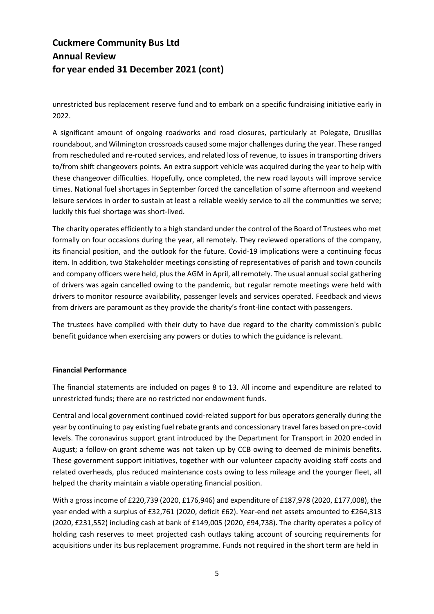## **Cuckmere Community Bus Ltd Annual Review for year ended 31 December 2021 (cont)**

unrestricted bus replacement reserve fund and to embark on a specific fundraising initiative early in 2022.

A significant amount of ongoing roadworks and road closures, particularly at Polegate, Drusillas roundabout, and Wilmington crossroads caused some major challenges during the year. These ranged from rescheduled and re-routed services, and related loss of revenue, to issues in transporting drivers to/from shift changeovers points. An extra support vehicle was acquired during the year to help with these changeover difficulties. Hopefully, once completed, the new road layouts will improve service times. National fuel shortages in September forced the cancellation of some afternoon and weekend leisure services in order to sustain at least a reliable weekly service to all the communities we serve; luckily this fuel shortage was short-lived.

The charity operates efficiently to a high standard under the control of the Board of Trustees who met formally on four occasions during the year, all remotely. They reviewed operations of the company, its financial position, and the outlook for the future. Covid-19 implications were a continuing focus item. In addition, two Stakeholder meetings consisting of representatives of parish and town councils and company officers were held, plus the AGM in April, all remotely. The usual annual social gathering of drivers was again cancelled owing to the pandemic, but regular remote meetings were held with drivers to monitor resource availability, passenger levels and services operated. Feedback and views from drivers are paramount as they provide the charity's front-line contact with passengers.

The trustees have complied with their duty to have due regard to the charity commission's public benefit guidance when exercising any powers or duties to which the guidance is relevant.

#### **Financial Performance**

The financial statements are included on pages 8 to 13. All income and expenditure are related to unrestricted funds; there are no restricted nor endowment funds.

Central and local government continued covid-related support for bus operators generally during the year by continuing to pay existing fuel rebate grants and concessionary travel fares based on pre-covid levels. The coronavirus support grant introduced by the Department for Transport in 2020 ended in August; a follow-on grant scheme was not taken up by CCB owing to deemed de minimis benefits. These government support initiatives, together with our volunteer capacity avoiding staff costs and related overheads, plus reduced maintenance costs owing to less mileage and the younger fleet, all helped the charity maintain a viable operating financial position.

With a gross income of £220,739 (2020, £176,946) and expenditure of £187,978 (2020, £177,008), the year ended with a surplus of £32,761 (2020, deficit £62). Year-end net assets amounted to £264,313 (2020, £231,552) including cash at bank of £149,005 (2020, £94,738). The charity operates a policy of holding cash reserves to meet projected cash outlays taking account of sourcing requirements for acquisitions under its bus replacement programme. Funds not required in the short term are held in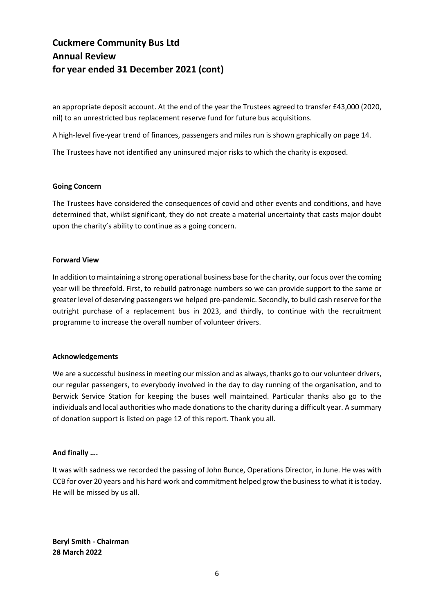## **Cuckmere Community Bus Ltd Annual Review for year ended 31 December 2021 (cont)**

an appropriate deposit account. At the end of the year the Trustees agreed to transfer £43,000 (2020, nil) to an unrestricted bus replacement reserve fund for future bus acquisitions.

A high-level five-year trend of finances, passengers and miles run is shown graphically on page 14.

The Trustees have not identified any uninsured major risks to which the charity is exposed.

#### **Going Concern**

The Trustees have considered the consequences of covid and other events and conditions, and have determined that, whilst significant, they do not create a material uncertainty that casts major doubt upon the charity's ability to continue as a going concern.

#### **Forward View**

In addition to maintaining a strong operational business base for the charity, our focus over the coming year will be threefold. First, to rebuild patronage numbers so we can provide support to the same or greater level of deserving passengers we helped pre-pandemic. Secondly, to build cash reserve for the outright purchase of a replacement bus in 2023, and thirdly, to continue with the recruitment programme to increase the overall number of volunteer drivers.

#### **Acknowledgements**

We are a successful business in meeting our mission and as always, thanks go to our volunteer drivers, our regular passengers, to everybody involved in the day to day running of the organisation, and to Berwick Service Station for keeping the buses well maintained. Particular thanks also go to the individuals and local authorities who made donations to the charity during a difficult year. A summary of donation support is listed on page 12 of this report. Thank you all.

#### **And finally ….**

It was with sadness we recorded the passing of John Bunce, Operations Director, in June. He was with CCB for over 20 years and his hard work and commitment helped grow the business to what it is today. He will be missed by us all.

**Beryl Smith - Chairman 28 March 2022**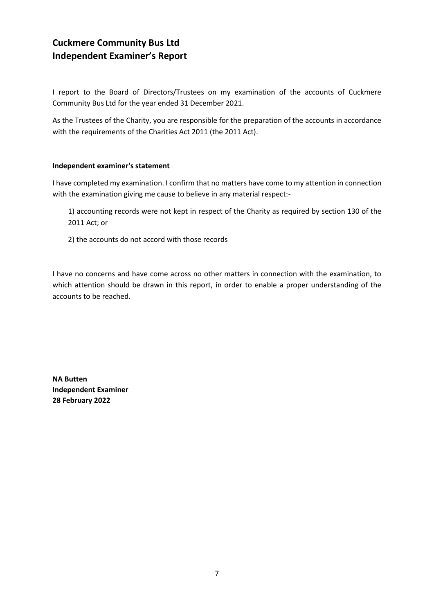## **Cuckmere Community Bus Ltd Independent Examiner's Report**

I report to the Board of Directors/Trustees on my examination of the accounts of Cuckmere Community Bus Ltd for the year ended 31 December 2021.

As the Trustees of the Charity, you are responsible for the preparation of the accounts in accordance with the requirements of the Charities Act 2011 (the 2011 Act).

#### **Independent examiner's statement**

I have completed my examination. I confirm that no matters have come to my attention in connection with the examination giving me cause to believe in any material respect:-

1) accounting records were not kept in respect of the Charity as required by section 130 of the 2011 Act; or

2) the accounts do not accord with those records

I have no concerns and have come across no other matters in connection with the examination, to which attention should be drawn in this report, in order to enable a proper understanding of the accounts to be reached.

**NA Butten Independent Examiner 28 February 2022**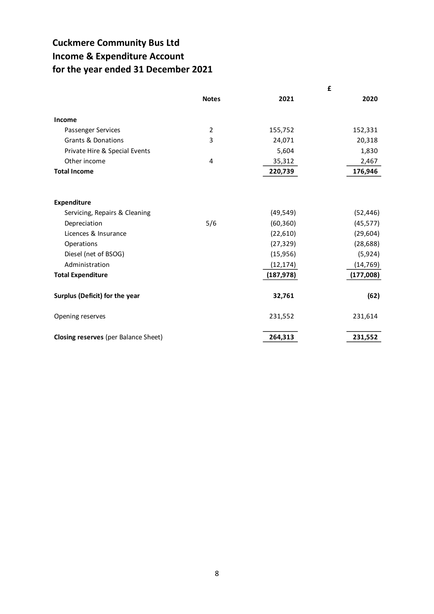## **Cuckmere Community Bus Ltd Income & Expenditure Account for the year ended 31 December 2021**

|                                      |                | £          |           |
|--------------------------------------|----------------|------------|-----------|
|                                      | <b>Notes</b>   | 2021       | 2020      |
| Income                               |                |            |           |
| Passenger Services                   | $\overline{2}$ | 155,752    | 152,331   |
| <b>Grants &amp; Donations</b>        | 3              | 24,071     | 20,318    |
| Private Hire & Special Events        |                | 5,604      | 1,830     |
| Other income                         | 4              | 35,312     | 2,467     |
| <b>Total Income</b>                  |                | 220,739    | 176,946   |
|                                      |                |            |           |
| <b>Expenditure</b>                   |                |            |           |
| Servicing, Repairs & Cleaning        |                | (49, 549)  | (52, 446) |
| Depreciation                         | 5/6            | (60, 360)  | (45, 577) |
| Licences & Insurance                 |                | (22,610)   | (29, 604) |
| Operations                           |                | (27, 329)  | (28, 688) |
| Diesel (net of BSOG)                 |                | (15,956)   | (5,924)   |
| Administration                       |                | (12, 174)  | (14, 769) |
| <b>Total Expenditure</b>             |                | (187, 978) | (177,008) |
| Surplus (Deficit) for the year       |                | 32,761     | (62)      |
| Opening reserves                     |                | 231,552    | 231,614   |
| Closing reserves (per Balance Sheet) |                | 264,313    | 231,552   |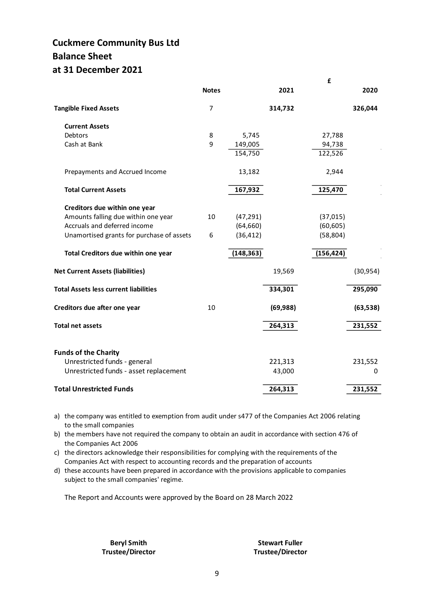## **Cuckmere Community Bus Ltd Balance Sheet at 31 December 2021**

|                                              |              |            |           | £          |           |
|----------------------------------------------|--------------|------------|-----------|------------|-----------|
|                                              | <b>Notes</b> |            | 2021      |            | 2020      |
| <b>Tangible Fixed Assets</b>                 | 7            |            | 314,732   |            | 326,044   |
| <b>Current Assets</b>                        |              |            |           |            |           |
| Debtors                                      | 8            | 5,745      |           | 27,788     |           |
| Cash at Bank                                 | 9            | 149,005    |           | 94,738     |           |
|                                              |              | 154,750    |           | 122,526    |           |
| Prepayments and Accrued Income               |              | 13,182     |           | 2,944      |           |
| <b>Total Current Assets</b>                  |              | 167,932    |           | 125,470    |           |
| Creditors due within one year                |              |            |           |            |           |
| Amounts falling due within one year          | 10           | (47, 291)  |           | (37, 015)  |           |
| Accruals and deferred income                 |              | (64, 660)  |           | (60, 605)  |           |
| Unamortised grants for purchase of assets    | 6            | (36, 412)  |           | (58, 804)  |           |
| Total Creditors due within one year          |              | (148, 363) |           | (156, 424) |           |
| <b>Net Current Assets (liabilities)</b>      |              |            | 19,569    |            | (30, 954) |
| <b>Total Assets less current liabilities</b> |              |            | 334,301   |            | 295,090   |
| Creditors due after one year                 | 10           |            | (69, 988) |            | (63, 538) |
| <b>Total net assets</b>                      |              |            | 264,313   |            | 231,552   |
|                                              |              |            |           |            |           |
| <b>Funds of the Charity</b>                  |              |            |           |            |           |
| Unrestricted funds - general                 |              |            | 221,313   |            | 231,552   |
| Unrestricted funds - asset replacement       |              |            | 43,000    |            | 0         |
| <b>Total Unrestricted Funds</b>              |              |            | 264,313   |            | 231,552   |

a) the company was entitled to exemption from audit under s477 of the Companies Act 2006 relating to the small companies

b) the members have not required the company to obtain an audit in accordance with section 476 of the Companies Act 2006

c) the directors acknowledge their responsibilities for complying with the requirements of the Companies Act with respect to accounting records and the preparation of accounts

d) these accounts have been prepared in accordance with the provisions applicable to companies subject to the small companies' regime.

The Report and Accounts were approved by the Board on 28 March 2022

**Trustee/Director Trustee/Director**

**Beryl Smith Stewart Fuller**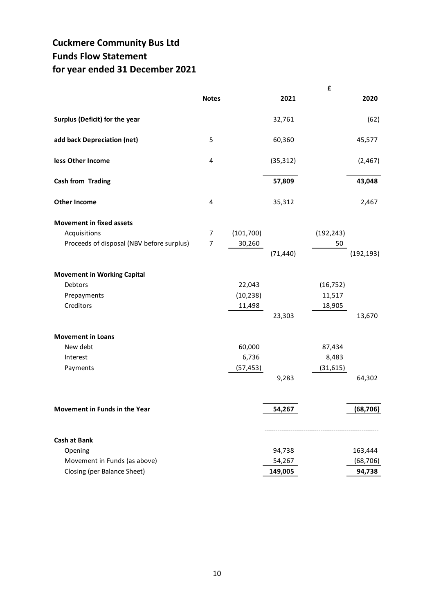## **Cuckmere Community Bus Ltd Funds Flow Statement for year ended 31 December 2021**

|                                                                                               |                     |                               |                             | £                             |                                |
|-----------------------------------------------------------------------------------------------|---------------------|-------------------------------|-----------------------------|-------------------------------|--------------------------------|
|                                                                                               | <b>Notes</b>        |                               | 2021                        |                               | 2020                           |
| Surplus (Deficit) for the year                                                                |                     |                               | 32,761                      |                               | (62)                           |
| add back Depreciation (net)                                                                   | 5                   |                               | 60,360                      |                               | 45,577                         |
| less Other Income                                                                             | 4                   |                               | (35, 312)                   |                               | (2,467)                        |
| <b>Cash from Trading</b>                                                                      |                     |                               | 57,809                      |                               | 43,048                         |
| <b>Other Income</b>                                                                           | 4                   |                               | 35,312                      |                               | 2,467                          |
| <b>Movement in fixed assets</b><br>Acquisitions<br>Proceeds of disposal (NBV before surplus)  | 7<br>$\overline{7}$ | (101, 700)<br>30,260          | (71, 440)                   | (192, 243)<br>50              | (192, 193)                     |
| <b>Movement in Working Capital</b><br>Debtors<br>Prepayments<br>Creditors                     |                     | 22,043<br>(10, 238)<br>11,498 | 23,303                      | (16, 752)<br>11,517<br>18,905 | 13,670                         |
| <b>Movement in Loans</b><br>New debt<br>Interest<br>Payments                                  |                     | 60,000<br>6,736<br>(57, 453)  | 9,283                       | 87,434<br>8,483<br>(31, 615)  | 64,302                         |
| Movement in Funds in the Year                                                                 |                     |                               | 54,267                      |                               | (68, 706)                      |
| <b>Cash at Bank</b><br>Opening<br>Movement in Funds (as above)<br>Closing (per Balance Sheet) |                     |                               | 94,738<br>54,267<br>149,005 |                               | 163,444<br>(68, 706)<br>94,738 |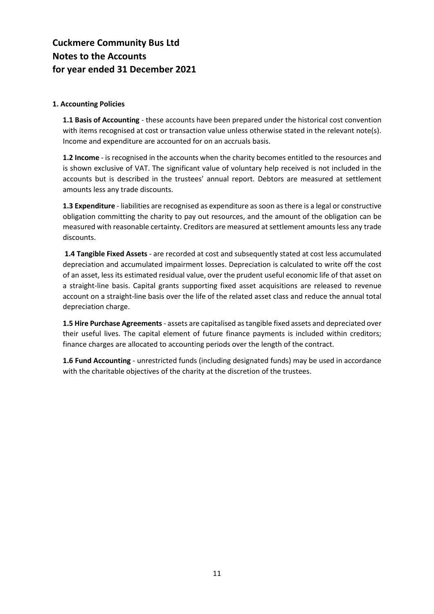## **Cuckmere Community Bus Ltd Notes to the Accounts for year ended 31 December 2021**

#### **1. Accounting Policies**

**1.1 Basis of Accounting** - these accounts have been prepared under the historical cost convention with items recognised at cost or transaction value unless otherwise stated in the relevant note(s). Income and expenditure are accounted for on an accruals basis.

**1.2 Income** - is recognised in the accounts when the charity becomes entitled to the resources and is shown exclusive of VAT. The significant value of voluntary help received is not included in the accounts but is described in the trustees' annual report. Debtors are measured at settlement amounts less any trade discounts.

**1.3 Expenditure** - liabilities are recognised as expenditure as soon as there is a legal or constructive obligation committing the charity to pay out resources, and the amount of the obligation can be measured with reasonable certainty. Creditors are measured at settlement amounts less any trade discounts.

**1.4 Tangible Fixed Assets** - are recorded at cost and subsequently stated at cost less accumulated depreciation and accumulated impairment losses. Depreciation is calculated to write off the cost of an asset, less its estimated residual value, over the prudent useful economic life of that asset on a straight-line basis. Capital grants supporting fixed asset acquisitions are released to revenue account on a straight-line basis over the life of the related asset class and reduce the annual total depreciation charge.

**1.5 Hire Purchase Agreements** - assets are capitalised as tangible fixed assets and depreciated over their useful lives. The capital element of future finance payments is included within creditors; finance charges are allocated to accounting periods over the length of the contract.

**1.6 Fund Accounting** - unrestricted funds (including designated funds) may be used in accordance with the charitable objectives of the charity at the discretion of the trustees.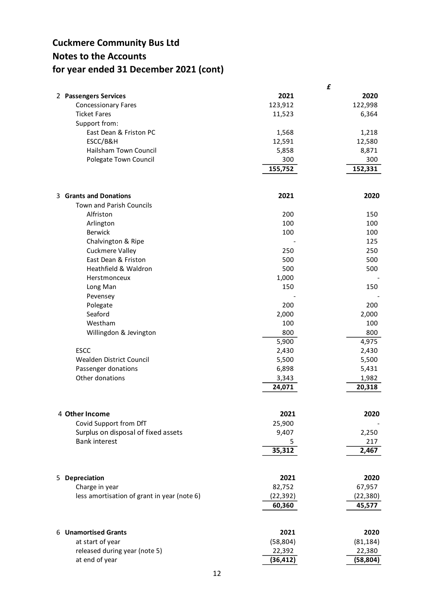## **Cuckmere Community Bus Ltd Notes to the Accounts for year ended 31 December 2021 (cont)**

|                                             |           | £         |
|---------------------------------------------|-----------|-----------|
| 2 Passengers Services                       | 2021      | 2020      |
| <b>Concessionary Fares</b>                  | 123,912   | 122,998   |
| <b>Ticket Fares</b>                         | 11,523    | 6,364     |
| Support from:                               |           |           |
| East Dean & Friston PC                      | 1,568     | 1,218     |
| ESCC/B&H                                    | 12,591    | 12,580    |
| Hailsham Town Council                       | 5,858     | 8,871     |
| Polegate Town Council                       | 300       | 300       |
|                                             | 155,752   | 152,331   |
|                                             |           |           |
| 3 Grants and Donations                      | 2021      | 2020      |
| <b>Town and Parish Councils</b>             |           |           |
| Alfriston                                   | 200       | 150       |
| Arlington                                   | 100       | 100       |
| <b>Berwick</b>                              | 100       | 100       |
| Chalvington & Ripe                          |           | 125       |
| Cuckmere Valley                             | 250       | 250       |
| East Dean & Friston                         | 500       | 500       |
| Heathfield & Waldron                        | 500       | 500       |
| Herstmonceux                                | 1,000     |           |
| Long Man                                    | 150       | 150       |
| Pevensey                                    |           |           |
| Polegate                                    | 200       | 200       |
| Seaford                                     | 2,000     | 2,000     |
| Westham                                     | 100       | 100       |
| Willingdon & Jevington                      | 800       | 800       |
|                                             | 5,900     | 4,975     |
| <b>ESCC</b>                                 | 2,430     | 2,430     |
| Wealden District Council                    | 5,500     | 5,500     |
| Passenger donations                         | 6,898     | 5,431     |
| Other donations                             | 3,343     | 1,982     |
|                                             | 24,071    | 20,318    |
|                                             |           |           |
| 4 Other Income                              | 2021      | 2020      |
| Covid Support from DfT                      | 25,900    |           |
| Surplus on disposal of fixed assets         | 9,407     | 2,250     |
| <b>Bank interest</b>                        | 5         | 217       |
|                                             | 35,312    | 2,467     |
|                                             |           |           |
| 5 Depreciation                              | 2021      | 2020      |
| Charge in year                              | 82,752    | 67,957    |
| less amortisation of grant in year (note 6) | (22,392)  | (22,380)  |
|                                             | 60,360    | 45,577    |
|                                             |           |           |
| 6 Unamortised Grants                        | 2021      | 2020      |
| at start of year                            | (58, 804) | (81, 184) |
| released during year (note 5)               | 22,392    | 22,380    |
| at end of year                              | (36, 412) | (58, 804) |
|                                             |           |           |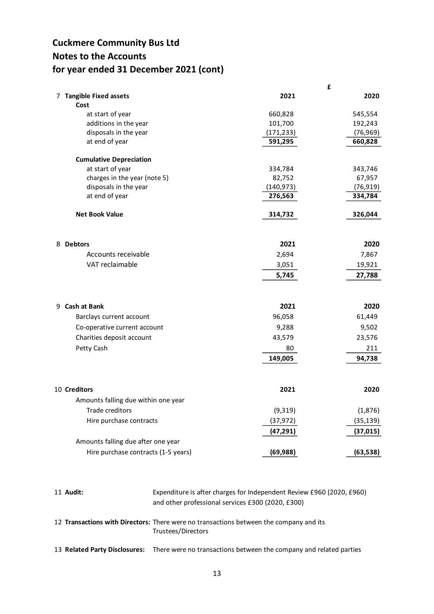## **Cuckmere Community Bus Ltd Notes to the Accounts for year ended 31 December 2021 (cont)**

|                                     |            | I,        |
|-------------------------------------|------------|-----------|
| 7 Tangible Fixed assets<br>Cost     | 2021       | 2020      |
| at start of year                    | 660,828    | 545,554   |
| additions in the year               | 101,700    | 192,243   |
| disposals in the year               | (171, 233) | (76, 969) |
| at end of year                      | 591,295    | 660,828   |
| <b>Cumulative Depreciation</b>      |            |           |
| at start of year                    | 334,784    | 343,746   |
| charges in the year (note 5)        | 82,752     | 67,957    |
| disposals in the year               | (140, 973) | (76, 919) |
| at end of year                      | 276,563    | 334,784   |
| <b>Net Book Value</b>               | 314,732    | 326,044   |
| 8 Debtors                           | 2021       | 2020      |
| Accounts receivable                 | 2,694      | 7,867     |
| VAT reclaimable                     | 3,051      | 19,921    |
|                                     | 5,745      | 27,788    |
|                                     |            |           |
| 9 Cash at Bank                      | 2021       | 2020      |
| Barclays current account            | 96,058     | 61,449    |
| Co-operative current account        | 9,288      | 9,502     |
| Charities deposit account           | 43,579     | 23,576    |
| Petty Cash                          | 80         | 211       |
|                                     | 149,005    | 94,738    |
|                                     |            |           |
| 10 Creditors                        | 2021       | 2020      |
| Amounts falling due within one year |            |           |
| Trade creditors                     | (9,319)    | (1,876)   |
| Hire purchase contracts             | (37, 972)  | (35, 139) |
|                                     | (47, 291)  | (37, 015) |
| Amounts falling due after one year  |            |           |
| Hire purchase contracts (1-5 years) | (69, 988)  | (63, 538) |
|                                     |            |           |

**£**

- 1 1 **Audit:** Expenditure is after charges for Independent Review £960 (2020, £960) and other professional services £300 (2020, £300)
- 1 2 **Transactions with Directors:** There were no transactions between the company and its Trustees/Directors
- 1 3 **Related Party Disclosures:** There were no transactions between the company and related parties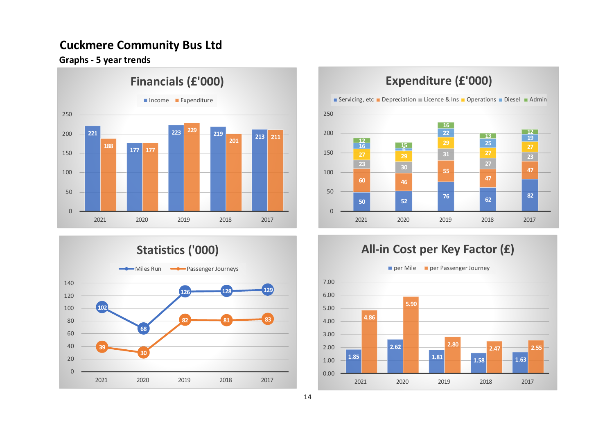## **Cuckmere Community Bus Ltd**

**Graphs - 5 year trends**







# **Expenditure (£'000)**